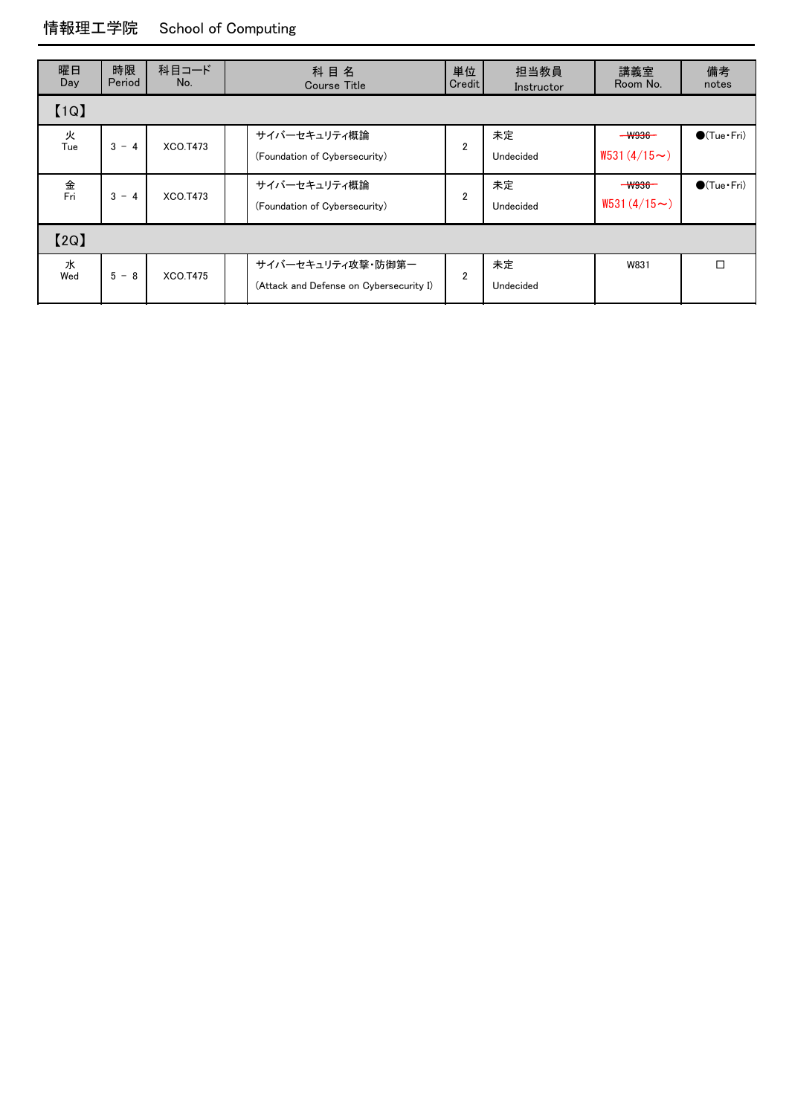## 情報理工学院 School of Computing

| 曜日<br>Day | 時限<br>Period | 科目コード<br>No. | 単位<br>科目名<br>Credit<br><b>Course Title</b>                   |                | 担当教員<br>Instructor | 講義室<br>Room No.                         | 備考<br>notes          |
|-----------|--------------|--------------|--------------------------------------------------------------|----------------|--------------------|-----------------------------------------|----------------------|
| [1Q]      |              |              |                                                              |                |                    |                                         |                      |
| 火<br>Tue  | $3 - 4$      | XCO.T473     | サイバーセキュリティ概論<br>(Foundation of Cybersecurity)                | $\overline{2}$ | 未定<br>Undecided    | <del>- W936 -</del><br>$W531(4/15\sim)$ | $\bigcirc$ (Tue·Fri) |
| 金<br>Fri  | $3 - 4$      | XCO.T473     | サイバーセキュリティ概論<br>(Foundation of Cybersecurity)                | $\overline{2}$ | 未定<br>Undecided    | $ W936-$<br>$W531(4/15\sim)$            | $\bigcirc$ (Tue·Fri) |
| [2Q]      |              |              |                                                              |                |                    |                                         |                      |
| 水<br>Wed  | $5 - 8$      | XCO.T475     | サイバーセキュリティ攻撃・防御第一<br>(Attack and Defense on Cybersecurity I) | $\overline{2}$ | 未定<br>Undecided    | W831                                    |                      |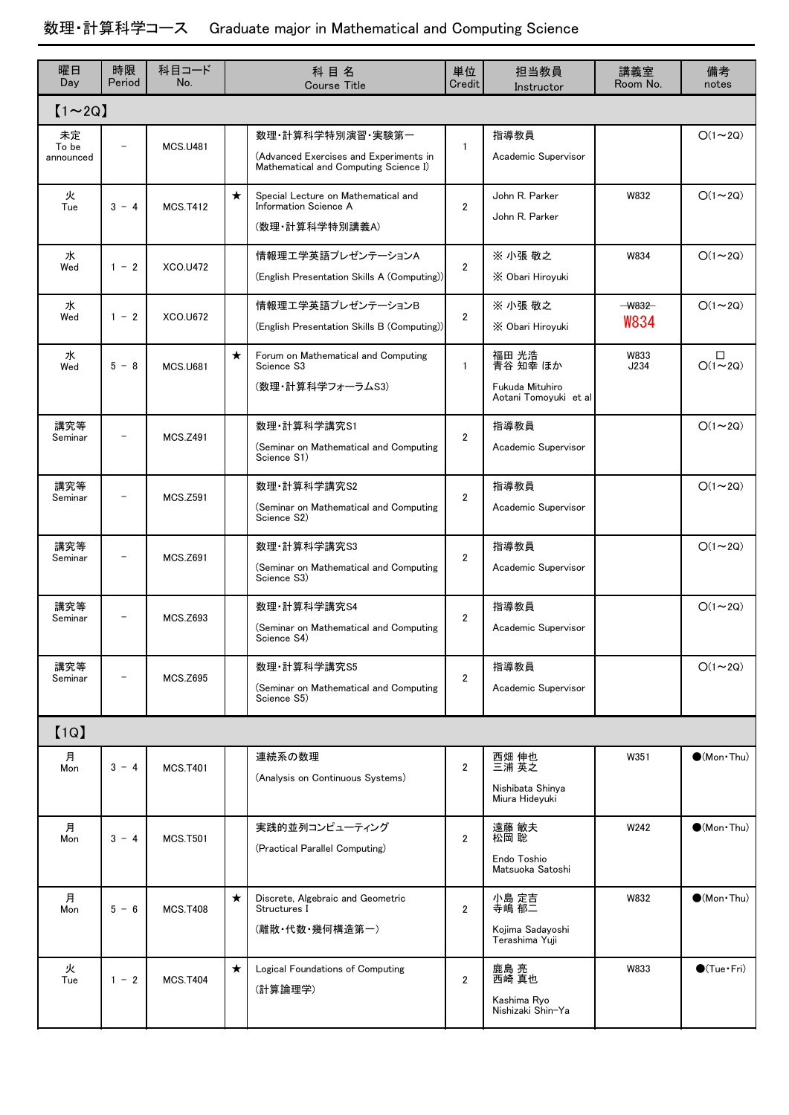# 数理・計算科学コース Graduate major in Mathematical and Computing Science

| 曜日<br>Day                | 時限<br>Period             | 科目コード<br>No.    | 科目名<br><b>Course Title</b> |                                                                                                     | 単位<br>Credit   | 担当教員<br>Instructor                                            | 講義室<br>Room No.  | 備考<br>notes                 |
|--------------------------|--------------------------|-----------------|----------------------------|-----------------------------------------------------------------------------------------------------|----------------|---------------------------------------------------------------|------------------|-----------------------------|
| $[1 \sim 2Q]$            |                          |                 |                            |                                                                                                     |                |                                                               |                  |                             |
| 未定<br>To be<br>announced |                          | <b>MCS.U481</b> |                            | 数理·計算科学特別演習·実験第一<br>(Advanced Exercises and Experiments in<br>Mathematical and Computing Science I) | $\mathbf{1}$   | 指導教員<br>Academic Supervisor                                   |                  | $O(1\sim 2Q)$               |
| 火<br>Tue                 | $3 - 4$                  | <b>MCS.T412</b> | $\star$                    | Special Lecture on Mathematical and<br>Information Science A<br>(数理·計算科学特別講義A)                      | $\overline{2}$ | John R. Parker<br>John R. Parker                              | W832             | $O(1\sim 2Q)$               |
| 水<br>Wed                 | $1 - 2$                  | XCO.U472        |                            | 情報理工学英語プレゼンテーションA<br>(English Presentation Skills A (Computing))                                    | $\overline{2}$ | ※ 小張 敬之<br>X Obari Hiroyuki                                   | W834             | $O(1\sim 2Q)$               |
| 水<br>Wed                 | $1 - 2$                  | XCO.U672        |                            | 情報理工学英語プレゼンテーションB<br>(English Presentation Skills B (Computing))                                    | $\overline{2}$ | ※ 小張 敬之<br>X Obari Hiroyuki                                   | $-$ W832<br>W834 | $O(1\sim 2Q)$               |
| 水<br>Wed                 | $5 - 8$                  | <b>MCS.U681</b> | $\star$                    | Forum on Mathematical and Computing<br>Science S3<br>(数理・計算科学フォーラムS3)                               | $\mathbf{1}$   | 福田 光浩<br>青谷 知幸 ほか<br>Fukuda Mituhiro<br>Aotani Tomoyuki et al | W833<br>J234     | □<br>$O(1\sim 2Q)$          |
| 講究等<br>Seminar           |                          | <b>MCS.Z491</b> |                            | 数理·計算科学講究S1<br>(Seminar on Mathematical and Computing<br>Science S1)                                | $\overline{2}$ | 指導教員<br>Academic Supervisor                                   |                  | $O(1\sim 2Q)$               |
| 講究等<br>Seminar           | $\overline{\phantom{0}}$ | <b>MCS.Z591</b> |                            | 数理·計算科学講究S2<br>(Seminar on Mathematical and Computing<br>Science S2)                                | $\overline{2}$ | 指導教員<br>Academic Supervisor                                   |                  | $O(1\sim 2Q)$               |
| 講究等<br>Seminar           |                          | <b>MCS.Z691</b> |                            | 数理·計算科学講究S3<br>(Seminar on Mathematical and Computing<br>Science S3)                                | $\overline{2}$ | 指導教員<br>Academic Supervisor                                   |                  | $O(1\sim 2Q)$               |
| 講究等<br>Seminar           | $\overline{\phantom{0}}$ | <b>MCS.Z693</b> |                            | 数理·計算科学講究S4<br>(Seminar on Mathematical and Computing<br>Science S4)                                | $\overline{2}$ | 指導教員<br>Academic Supervisor                                   |                  | $O(1\sim 2Q)$               |
| 講究等<br>Seminar           |                          | <b>MCS.Z695</b> |                            | 数理·計算科学講究S5<br>(Seminar on Mathematical and Computing<br>Science S5)                                | $\overline{2}$ | 指導教員<br>Academic Supervisor                                   |                  | $O(1\sim 2Q)$               |
| [1Q]                     |                          |                 |                            |                                                                                                     |                |                                                               |                  |                             |
| 月<br>Mon                 | $3 - 4$                  | <b>MCS.T401</b> |                            | 連続系の数理<br>(Analysis on Continuous Systems)                                                          | $\overline{2}$ | 西畑 伸也<br>三浦 英之<br>Nishibata Shinya<br>Miura Hideyuki          | W351             | $\bullet$ (Mon $\cdot$ Thu) |
| 月<br>Mon                 | $3 - 4$                  | <b>MCS.T501</b> |                            | 実践的並列コンピューティング<br>(Practical Parallel Computing)                                                    | $\overline{2}$ | 遠藤 敏夫<br>松岡 聡<br>Endo Toshio<br>Matsuoka Satoshi              | W242             | $\bigcirc$ (Mon Thu)        |
| 月<br>Mon                 | $5 - 6$                  | <b>MCS.T408</b> | $\star$                    | Discrete, Algebraic and Geometric<br>Structures I<br>(離散・代数・幾何構造第一)                                 | $\overline{2}$ | 小島 定吉<br>寺嶋 郁二<br>Kojima Sadayoshi<br>Terashima Yuii          | W832             | $\bullet$ (Mon Thu)         |
| 火<br>Tue                 | $1 - 2$                  | <b>MCS.T404</b> | $\star$                    | Logical Foundations of Computing<br>(計算論理学)                                                         | $\overline{2}$ | 鹿島 亮<br>西崎 真也<br>Kashima Ryo<br>Nishizaki Shin-Ya             | W833             | $\bigcirc$ (Tue·Fri)        |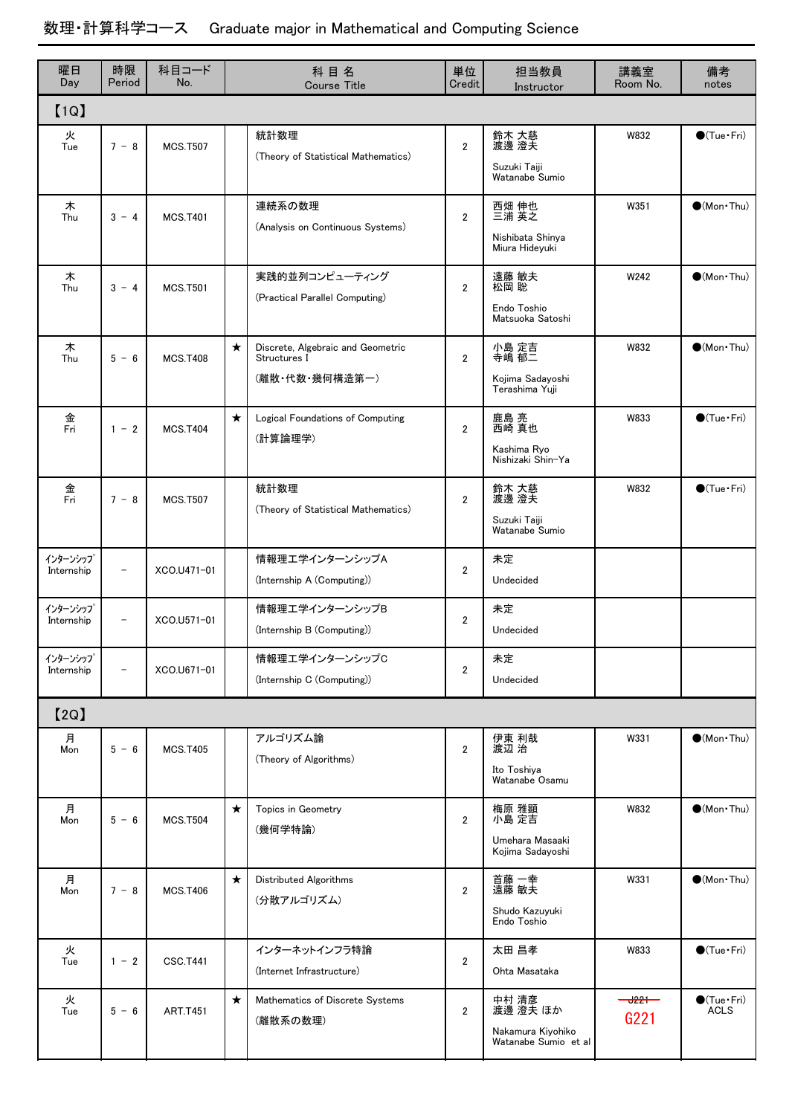#### 時限 Period 科目コード No. 講義室 Room No. 曜日 ┃ 時限 ┃ 科目⊐一ド ┃ 科 目 名 ┃ 単位 ┃ 担当教員 Day 単位 Credit 備考 Course Title **Course Title** Credit **Instructor Room No.** notes 【1Q】 MCS.T507 W832  $7 - 8$ 火  $\overline{2}$ 統計数理 (Theory of Statistical Mathematics) 鈴木 大慈 渡邊 澄夫 Suzuki Taiji Watanabe Sumio ●(Tue・Fri) Tue **MCS.T401** W351  $3 - 4$ 木 2 連続系の数理 (Analysis on Continuous Systems) 西畑 伸也 三浦 英之 Nishibata Shinya Miura Hideyuki  $\bigcirc$ (Mon·Thu) Thu MCS.T501 W242  $3 - 4$ 木 2 実践的並列コンピューティング (Practical Parallel Computing) 遠藤 敏夫 松岡 聡 Endo Toshio Matsuoka Satoshi  $\bigcirc$ (Mon · Thu) Thu **MCS T408** ★ | Discrete, Algebraic and Geometric | 小島 定吉 W832  $5 - 6$ 木 2 Structures I (離散・代数・幾何構造第一) 小島 定吉 寺嶋 郁二 Kojima Sadayoshi Terashima Yuji  $\bigcirc$ (Mon · Thu) Thu **MCS T404** ★ | Logical Foundations of Computing 鹿島 亮 W833  $1 - 2$ 金  $\overline{2}$ (計算論理学) 鹿島 亮 西崎 真也 Kashima Ryo Nishizaki Shin-Ya ●(Tue·Fri) Fri **MCS T507** W832  $7 - 8$ 金  $\overline{2}$ 統計数理 (Theory of Statistical Mathematics) 鈴木 大慈 渡邊 澄夫 Suzuki Taiji Watanabe Sumio ●(Tue・Fri) Fri  $-$  XCO  $11471-01$ インターンシップ  $\overline{2}$ 情報理工学インターンシップA (Internship A (Computing)) 未定 Undecided Internship  $-$  XCO.U571-01 インターンシップ  $\overline{2}$ 情報理工学インターンシップB (Internship B (Computing)) 未定 Undecided Internship - XCO.U671-01 インターンシップ 2 情報理工学インターンシップC (Internship C (Computing)) 未定 Undecided **Internship** 【2Q】 MCS.T405 W331  $5 - 6$ 月  $\overline{2}$ アルゴリズム論 (Theory of Algorithms) 伊東 利哉 渡辺 治 Ito Toshiya Watanabe Osamu  $\bigcirc$ (Mon · Thu) Mon MCS.T504 ★ │ Topics in Geometry 梅原 雅顕 W832  $5 - 6$ 月  $\overline{2}$ (幾何学特論) 梅原 雅顕 小島 定吉 Umehara Masaaki Kojima Sadayoshi  $\bigcirc$ (Mon·Thu) Mon MCS.T406 ★ W331 Distributed Algorithms  $7 - 8$ 月 2 (分散アルゴリズム) 首藤 一幸 遠藤 敏夫 Shudo Kazuyuki Endo Toshio  $\bigcirc$ (Mon · Thu) Mon CSC.T441 W833  $1 - 2$ 火 2 インターネットインフラ特論 (Internet Infrastructure) 太田 昌孝 Ohta Masataka ●(Tue·Fri) **Tue** ART.T451 ★ | Mathematics of Discrete Systems 中村 清彦 <del> U221</del>  $5 - 6$ 火<br>Tue 2 (離散系の数理) 中村 清彦 渡邊 澄夫 ほか Nakamura Kiyohiko Watanabe Sumio et al ●(Tue · Fri)<br>ACLS Tue | 5 - 6 | ART.T451 | | <sub>(離散系の数理)</sub> | 2 | 渡邊 澄夫 ほか | G221 | ACLS

### 数理・計算科学コース Graduate major in Mathematical and Computing Science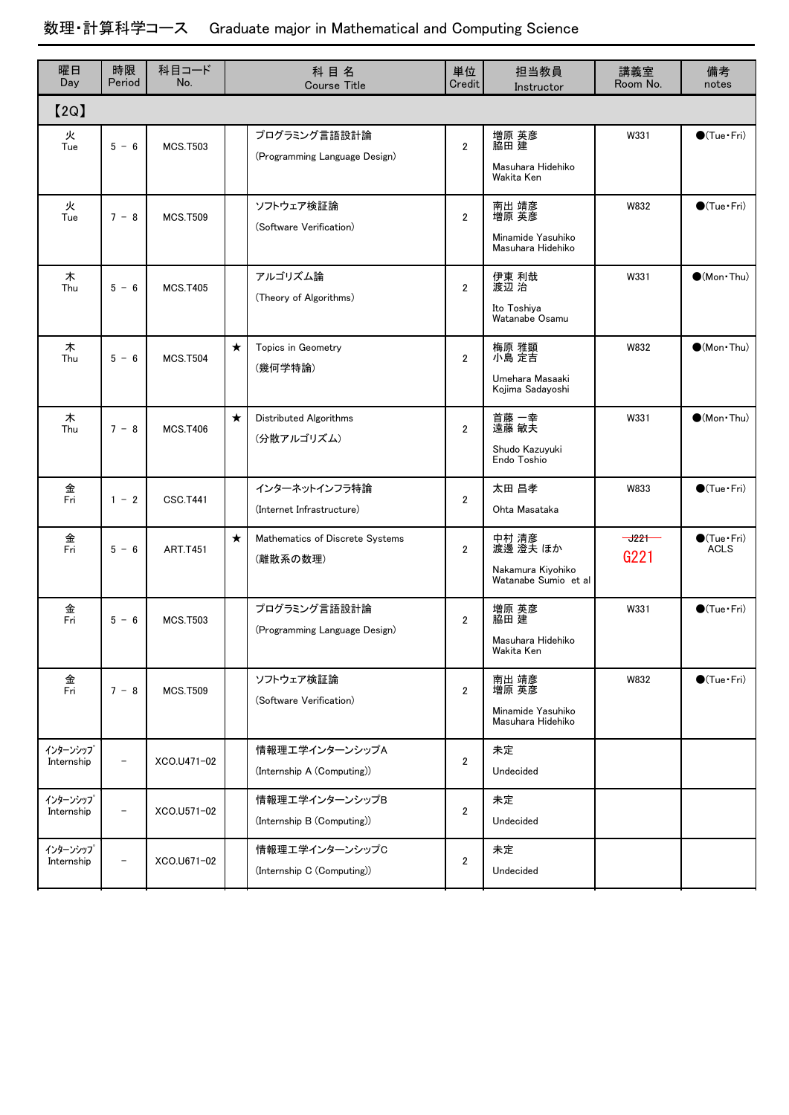# 数理・計算科学コース Graduate major in Mathematical and Computing Science

| 曜日<br>Day              | 時限<br>Period             | 科目コード<br>No.    |         | 科目名<br><b>Course Title</b>                    | 単位<br>Credit   | 担当教員<br>Instructor                                             | 講義室<br>Room No.  | 備考<br>notes                         |
|------------------------|--------------------------|-----------------|---------|-----------------------------------------------|----------------|----------------------------------------------------------------|------------------|-------------------------------------|
| [2Q]                   |                          |                 |         |                                               |                |                                                                |                  |                                     |
| 火<br>Tue               | $5 - 6$                  | <b>MCS.T503</b> |         | プログラミング言語設計論<br>(Programming Language Design) | $\overline{2}$ | 増原 英彦<br>脇田 建<br>Masuhara Hidehiko<br>Wakita Ken               | W331             | $\bigcirc$ (Tue · Fri)              |
| 火<br>Tue               | $7 - 8$                  | <b>MCS.T509</b> |         | ソフトウェア検証論<br>(Software Verification)          | $\overline{2}$ | 南出 靖彦<br>増原 英彦<br>Minamide Yasuhiko<br>Masuhara Hidehiko       | W832             | $\bigcirc$ (Tue·Fri)                |
| 木<br>Thu               | $5 - 6$                  | <b>MCS.T405</b> |         | アルゴリズム論<br>(Theory of Algorithms)             | $\overline{2}$ | 伊東 利哉<br>渡辺 治<br>Ito Toshiya<br>Watanabe Osamu                 | W331             | $\bigcirc$ (Mon Thu)                |
| 木<br>Thu               | $5 - 6$                  | <b>MCS.T504</b> | $\star$ | Topics in Geometry<br>(幾何学特論)                 | $\overline{2}$ | 梅原 雅顕<br>小島 定吉<br>Umehara Masaaki<br>Kojima Sadayoshi          | W832             | $(Mon\cdot Thu)$                    |
| 木<br>Thu               | $7 - 8$                  | <b>MCS.T406</b> | $\star$ | Distributed Algorithms<br>(分散アルゴリズム)          | $\overline{2}$ | 首藤 一幸<br>遠藤 敏夫<br>Shudo Kazuyuki<br>Endo Toshio                | W331             | $\bigcirc$ (Mon Thu)                |
| 金<br>Fri               | $1 - 2$                  | <b>CSC.T441</b> |         | インターネットインフラ特論<br>(Internet Infrastructure)    | $\overline{2}$ | 太田 昌孝<br>Ohta Masataka                                         | W833             | $\bigcirc$ (Tue $\cdot$ Fri)        |
| 金<br>Fri               | $5 - 6$                  | <b>ART.T451</b> | $\star$ | Mathematics of Discrete Systems<br>(離散系の数理)   | $\overline{2}$ | 中村 清彦<br>渡邊 澄夫 ほか<br>Nakamura Kiyohiko<br>Watanabe Sumio et al | $-1221-$<br>G221 | $\bigcirc$ (Tue·Fri)<br><b>ACLS</b> |
| 金<br>$\bar{F}$ ri      | $5 - 6$                  | <b>MCS.T503</b> |         | プログラミング言語設計論<br>(Programming Language Design) | $\overline{2}$ | 増原 英彦<br>脇田 建<br>Masuhara Hidehiko<br>Wakita Ken               | W331             | $\bigcirc$ (Tue · Fri)              |
| 金<br>Fri               | $7 - 8$                  | <b>MCS.T509</b> |         | ソフトウェア検証論<br>(Software Verification)          | $\overline{2}$ | 南出 靖彦<br>増原 英彦<br>Minamide Yasuhiko<br>Masuhara Hidehiko       | W832             | $\bigcirc$ (Tue $\cdot$ Fri)        |
| インターンシップ<br>Internship | $\overline{\phantom{0}}$ | XCO.U471-02     |         | 情報理エ学インターンシップA<br>(Internship A (Computing))  | $\overline{2}$ | 未定<br>Undecided                                                |                  |                                     |
| インターンシップ<br>Internship | $\qquad \qquad -$        | XCO.U571-02     |         | 情報理エ学インターンシップB<br>(Internship B (Computing))  | $\overline{2}$ | 未定<br>Undecided                                                |                  |                                     |
| インターンシップ<br>Internship | $\overline{a}$           | XCO.U671-02     |         | 情報理工学インターンシップC<br>(Internship C (Computing))  | $\overline{2}$ | 未定<br>Undecided                                                |                  |                                     |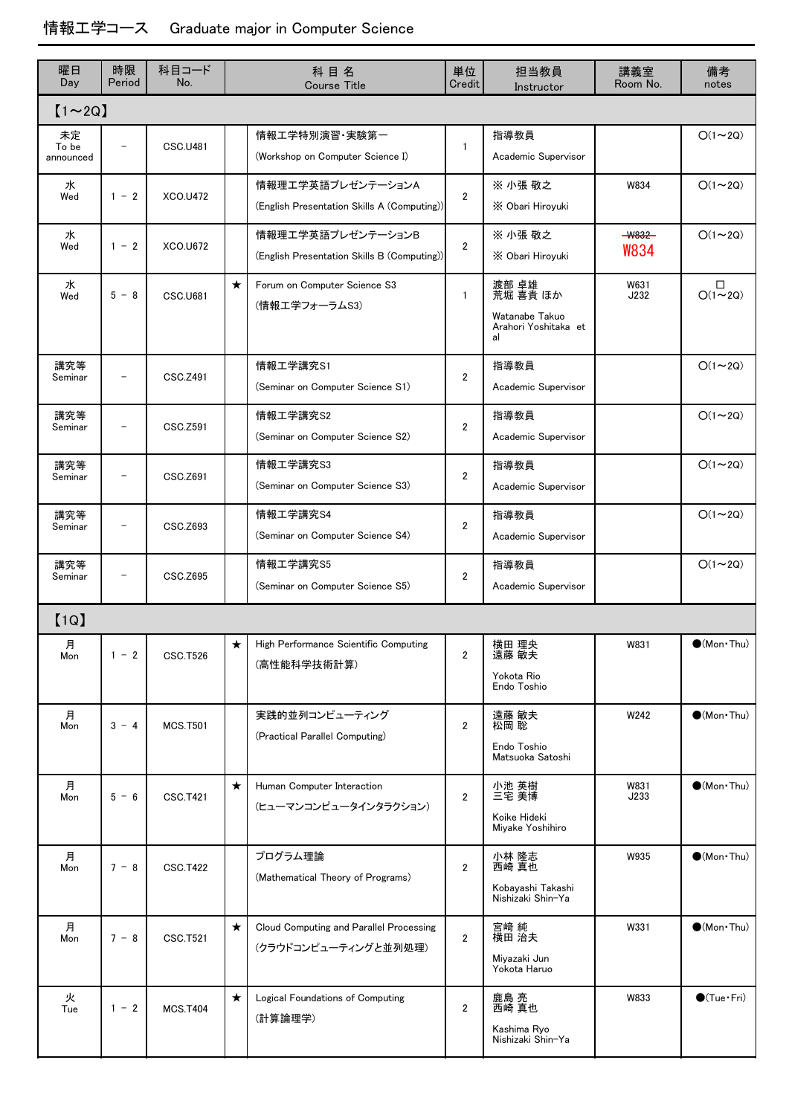| 曜日<br>Day                | 時限<br>Period             | 科目コード<br>No.          | 科目名<br><b>Course Title</b> |                                                                  | 単位<br>Credit   | 担当教員<br>Instructor                                                | 講義室<br>Room No.         | 備考<br>notes                 |
|--------------------------|--------------------------|-----------------------|----------------------------|------------------------------------------------------------------|----------------|-------------------------------------------------------------------|-------------------------|-----------------------------|
| $[1 \sim 2Q]$            |                          |                       |                            |                                                                  |                |                                                                   |                         |                             |
| 未定<br>To be<br>announced | $\overline{a}$           | <b>CSC.U481</b>       |                            | 情報エ学特別演習・実験第一<br>(Workshop on Computer Science I)                | 1              | 指導教員<br>Academic Supervisor                                       |                         | $O(1\sim 2Q)$               |
| 水<br>Wed                 | $1 - 2$                  | XCO.U472              |                            | 情報理工学英語プレゼンテーションA<br>(English Presentation Skills A (Computing)) | $\overline{2}$ | ※ 小張 敬之<br>X Obari Hiroyuki                                       | W834                    | $O(1\sim 2Q)$               |
| 水<br>Wed                 | $1 - 2$                  | <b>XCO.U672</b>       |                            | 情報理工学英語プレゼンテーションB<br>(English Presentation Skills B (Computing)) | $\overline{2}$ | ※ 小張 敬之<br>X Obari Hiroyuki                                       | $-$ W832<br><b>W834</b> | $O(1\sim 2Q)$               |
| 水<br>Wed                 | $5 - 8$                  | <b>CSC.U681</b>       | $\star$                    | Forum on Computer Science S3<br>(情報エ学フォーラムS3)                    | $\mathbf{1}$   | 渡部 卓雄<br>荒堀 喜貴 ほか<br>Watanabe Takuo<br>Arahori Yoshitaka et<br>al | W631<br>J232            | $\Box$<br>$O(1 - 2Q)$       |
| 講究等<br>Seminar           | $\qquad \qquad -$        | CSC.Z491              |                            | 情報工学講究S1<br>(Seminar on Computer Science S1)                     | $\overline{2}$ | 指導教員<br>Academic Supervisor                                       |                         | $O(1\sim 2Q)$               |
| 講究等<br>Seminar           | $\overline{\phantom{0}}$ | CSC <sub>.</sub> Z591 |                            | 情報工学講究S2<br>(Seminar on Computer Science S2)                     | $\overline{2}$ | 指導教員<br>Academic Supervisor                                       |                         | $O(1\sim 2Q)$               |
| 講究等<br>Seminar           |                          | CSC.Z691              |                            | 情報工学講究S3<br>(Seminar on Computer Science S3)                     | $\overline{2}$ | 指導教員<br>Academic Supervisor                                       |                         | $O(1\sim 2Q)$               |
| 講究等<br>Seminar           |                          | CSC.Z693              |                            | 情報工学講究S4<br>(Seminar on Computer Science S4)                     | $\overline{2}$ | 指導教員<br>Academic Supervisor                                       |                         | $O(1\sim 2Q)$               |
| 講究等<br>Seminar           | $\qquad \qquad -$        | CSC <sub>.</sub> Z695 |                            | 情報工学講究S5<br>(Seminar on Computer Science S5)                     | $\overline{2}$ | 指導教員<br>Academic Supervisor                                       |                         | $O(1\sim 2Q)$               |
| [1Q]                     |                          |                       |                            |                                                                  |                |                                                                   |                         |                             |
| 月<br>Mon                 | $1 - 2$                  | <b>CSC.T526</b>       | ★                          | High Performance Scientific Computing<br>(高性能科学技術計算)             | $\overline{2}$ | 横田 理央<br>遠藤 敏夫<br>Yokota Rio<br>Endo Toshio                       | W831                    | $\bullet$ (Mon•Thu)         |
| 月<br>Mon                 | $3 - 4$                  | <b>MCS.T501</b>       |                            | 実践的並列コンピューティング<br>(Practical Parallel Computing)                 | $\overline{2}$ | 遠藤 敏夫<br>松岡 聡<br>Endo Toshio<br>Matsuoka Satoshi                  | W242                    | $\bullet$ (Mon·Thu)         |
| 月<br>Mon                 | $5 - 6$                  | <b>CSC.T421</b>       | $\star$                    | Human Computer Interaction<br>(ヒューマンコンピュータインタラクション)              | $\overline{2}$ | 小池 英樹<br>三宅 美博<br>Koike Hideki<br>Miyake Yoshihiro                | W831<br>J233            | $\bullet$ (Mon Thu)         |
| 月<br>Mon                 | $7 - 8$                  | <b>CSC.T422</b>       |                            | プログラム理論<br>(Mathematical Theory of Programs)                     | $\overline{2}$ | 小林 隆志<br>西崎 真也<br>Kobayashi Takashi<br>Nishizaki Shin-Ya          | W935                    | $\bullet$ (Mon Thu)         |
| 月<br>Mon                 | $7 - 8$                  | CSC.T521              | $\star$                    | Cloud Computing and Parallel Processing<br>(クラウドコンピューティングと並列処理)  | $\overline{2}$ | 宮崎 純<br>横田 治夫<br>Miyazaki Jun<br>Yokota Haruo                     | W331                    | $\bullet$ (Mon $\cdot$ Thu) |
| 火<br>Tue                 | $1 - 2$                  | <b>MCS.T404</b>       | $\star$                    | Logical Foundations of Computing<br>(計算論理学)                      | $\overline{2}$ | 鹿島 亮<br>西崎 真也<br>Kashima Ryo<br>Nishizaki Shin-Ya                 | W833                    | $\bigcirc$ (Tue·Fri)        |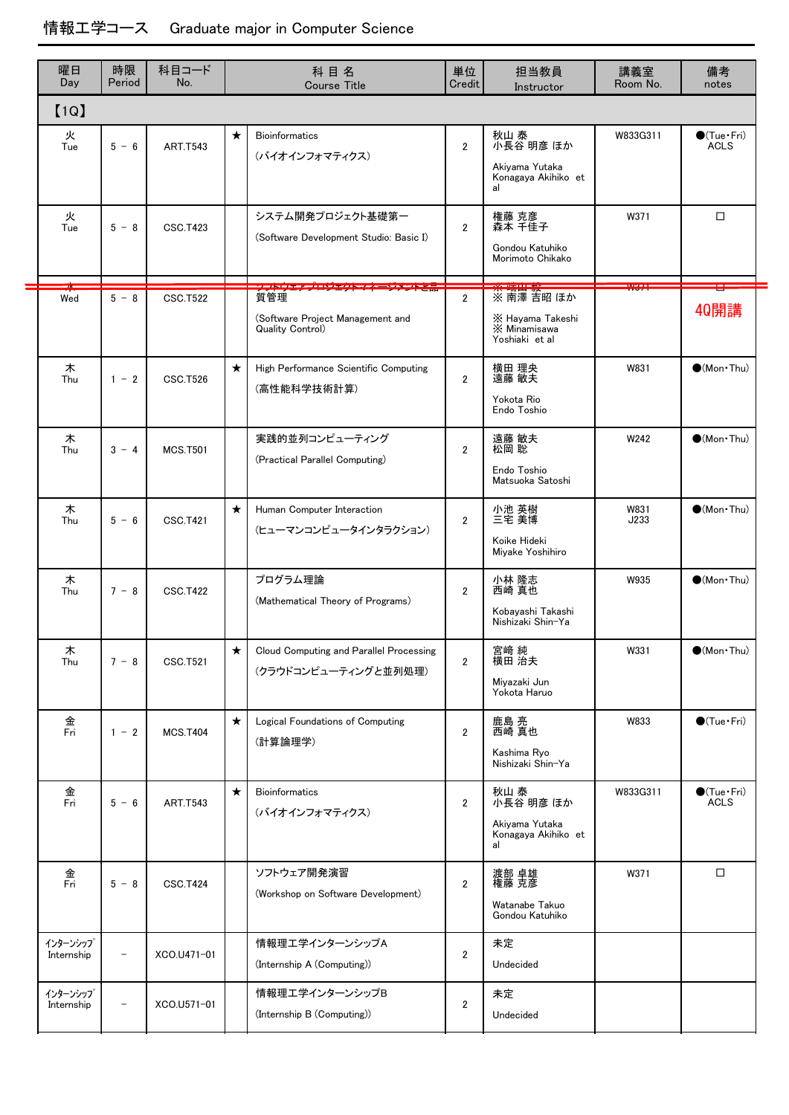| 曜日<br>Day              | 時限<br>Period             | 科目コード<br>No.    |         | 科目名<br><b>Course Title</b>                                      | 単位<br>Credit   | 担当教員<br>Instructor                                               | 講義室<br>Room No. | 備考<br>notes                           |
|------------------------|--------------------------|-----------------|---------|-----------------------------------------------------------------|----------------|------------------------------------------------------------------|-----------------|---------------------------------------|
| [1Q]                   |                          |                 |         |                                                                 |                |                                                                  |                 |                                       |
| 火<br>Tue               | $5 - 6$                  | <b>ART.T543</b> | $\star$ | <b>Bioinformatics</b><br>(バイオインフォマティクス)                         | $\overline{2}$ | 秋山 泰<br>小長谷 明彦 ほか<br>Akiyama Yutaka<br>Konagaya Akihiko et<br>al | W833G311        | $\bigcirc$ (Tue · Fri)<br><b>ACLS</b> |
| 火<br>Tue               | $5 - 8$                  | <b>CSC.T423</b> |         | システム開発プロジェクト基礎第一<br>(Software Development Studio: Basic I)      | $\overline{2}$ | 権藤 克彦<br>森本 千佳子<br>Gondou Katuhiko<br>Morimoto Chikako           | W371            | □                                     |
| Wed                    | $5 - 8$                  | <b>CSC.T522</b> |         | 質管理<br>(Software Project Management and<br>Quality Control)     | $\overline{2}$ | ※ 南澤 吉昭 ほか<br>X Hayama Takeshi<br>X Minamisawa<br>Yoshiaki et al | 1.160 M (1)     | <b>40開講</b>                           |
| 木<br>Thu               | $1 - 2$                  | <b>CSC.T526</b> | $\star$ | High Performance Scientific Computing<br>(高性能科学技術計算)            | $\overline{2}$ | 横田 理央<br>遠藤 敏夫<br>Yokota Rio<br>Endo Toshio                      | W831            | $(Mon\cdot Thu)$                      |
| 木<br>Thu               | $3 - 4$                  | <b>MCS.T501</b> |         | 実践的並列コンピューティング<br>(Practical Parallel Computing)                | $\overline{2}$ | 遠藤 敏夫<br>松岡 聡<br>Endo Toshio<br>Matsuoka Satoshi                 | W242            | $(Mon\cdot Thu)$                      |
| 木<br>Thu               | $5 - 6$                  | <b>CSC.T421</b> | $\star$ | Human Computer Interaction<br>(ヒューマンコンピュータインタラクション)             | $\overline{2}$ | 小池 英樹<br>三宅 美博<br>Koike Hideki<br>Miyake Yoshihiro               | W831<br>J233    | $(Mon\cdot Thu)$                      |
| 木<br>Thu               | $7 - 8$                  | <b>CSC.T422</b> |         | プログラム理論<br>(Mathematical Theory of Programs)                    | $\overline{2}$ | 小林 隆志<br>西崎 真也<br>Kobayashi Takashi<br>Nishizaki Shin-Ya         | W935            | $\bullet$ (Mon·Thu)                   |
| 木<br>Thu               | $7 - 8$                  | <b>CSC.T521</b> | $\star$ | Cloud Computing and Parallel Processing<br>(クラウドコンピューティングと並列処理) | $\overline{2}$ | 宮崎 純<br>横田 治夫<br>Miyazaki Jun<br>Yokota Haruo                    | W331            | $\bullet$ (Mon Thu)                   |
| 金<br>Fri               | $1 - 2$                  | <b>MCS.T404</b> | $\star$ | Logical Foundations of Computing<br>(計算論理学)                     | $\overline{2}$ | 鹿島 亮<br>西崎 真也<br>Kashima Ryo<br>Nishizaki Shin-Ya                | W833            | $\bigcirc$ (Tue · Fri)                |
| 金<br>Fri               | $5 - 6$                  | <b>ART.T543</b> | $\star$ | <b>Bioinformatics</b><br>(バイオインフォマティクス)                         | $\overline{2}$ | 秋山 泰<br>小長谷 明彦 ほか<br>Akiyama Yutaka<br>Konagaya Akihiko et<br>al | W833G311        | $\bigcirc$ (Tue · Fri)<br><b>ACLS</b> |
| 金<br>Fri               | $5 - 8$                  | <b>CSC.T424</b> |         | ソフトウェア開発演習<br>(Workshop on Software Development)                | $\overline{2}$ | 渡部 卓雄<br>権藤 克彦<br>Watanabe Takuo<br>Gondou Katuhiko              | W371            | □                                     |
| インターンシップ<br>Internship | $\overline{\phantom{a}}$ | XCO.U471-01     |         | 情報理工学インターンシップA<br>(Internship A (Computing))                    | $\overline{2}$ | 未定<br>Undecided                                                  |                 |                                       |
| インターンシップ<br>Internship | $\overline{\phantom{a}}$ | XCO.U571-01     |         | 情報理工学インターンシップB<br>(Internship B (Computing))                    | $\overline{2}$ | 未定<br>Undecided                                                  |                 |                                       |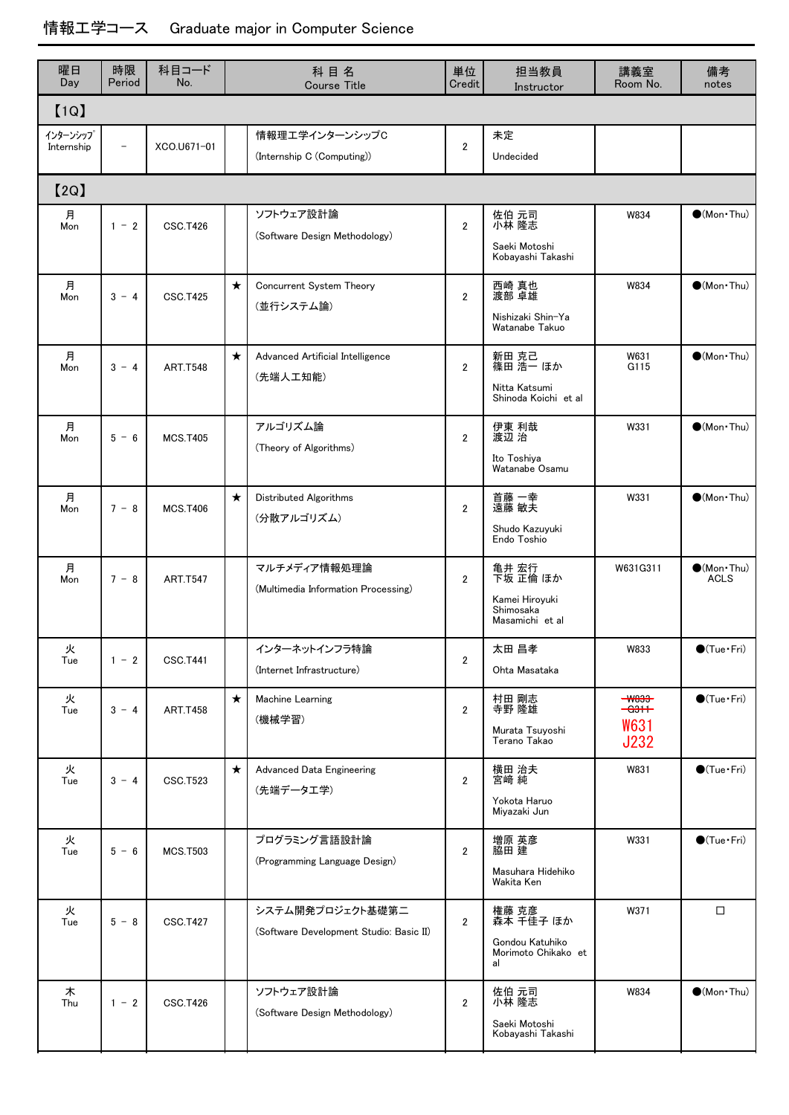| 曜日<br>Day              | 時限<br>Period             | 科目コード<br>No.    |         | 科目名<br><b>Course Title</b>                                  | 単位<br>Credit   | 担当教員<br>Instructor                                                  | 講義室<br>Room No.                                                   | 備考<br>notes                          |
|------------------------|--------------------------|-----------------|---------|-------------------------------------------------------------|----------------|---------------------------------------------------------------------|-------------------------------------------------------------------|--------------------------------------|
| [1Q]                   |                          |                 |         |                                                             |                |                                                                     |                                                                   |                                      |
| インターンシップ<br>Internship | $\overline{\phantom{0}}$ | XCO.U671-01     |         | 情報理工学インターンシップC<br>(Internship C (Computing))                | $\overline{2}$ | 未定<br>Undecided                                                     |                                                                   |                                      |
| [2Q]                   |                          |                 |         |                                                             |                |                                                                     |                                                                   |                                      |
| 月<br>Mon               | $1 - 2$                  | <b>CSC.T426</b> |         | ソフトウェア設計論<br>(Software Design Methodology)                  | $\overline{2}$ | 佐伯 元司<br>小林 隆志<br>Saeki Motoshi<br>Kobayashi Takashi                | W834                                                              | $\bullet$ (Mon·Thu)                  |
| 月<br>Mon               | $3 - 4$                  | <b>CSC.T425</b> | $\star$ | Concurrent System Theory<br>(並行システム論)                       | $\overline{2}$ | 西崎 真也<br>渡部 卓雄<br>Nishizaki Shin-Ya<br>Watanabe Takuo               | W834                                                              | $\bullet$ (Mon·Thu)                  |
| 月<br>Mon               | $3 - 4$                  | <b>ART.T548</b> | $\star$ | Advanced Artificial Intelligence<br>(先端人工知能)                | $\overline{2}$ | 新田 克己<br>篠田 浩一 ほか<br>Nitta Katsumi<br>Shinoda Koichi et al          | W631<br>G115                                                      | $\bullet$ (Mon·Thu)                  |
| 月<br>Mon               | $5 - 6$                  | <b>MCS.T405</b> |         | アルゴリズム論<br>(Theory of Algorithms)                           | $\overline{2}$ | 伊東 利哉<br>渡辺 治<br>Ito Toshiya<br>Watanabe Osamu                      | W331                                                              | $\bigcirc$ (Mon Thu)                 |
| 月<br>Mon               | $7 - 8$                  | <b>MCS.T406</b> | $\star$ | Distributed Algorithms<br>(分散アルゴリズム)                        | $\overline{2}$ | 首藤 一幸<br>遠藤 敏夫<br>Shudo Kazuyuki<br>Endo Toshio                     | W331                                                              | $\bullet$ (Mon·Thu)                  |
| 月<br>Mon               | $7 - 8$                  | <b>ART.T547</b> |         | マルチメディア情報処理論<br>(Multimedia Information Processing)         | $\overline{2}$ | 亀井 宏行<br>下坂 正倫 ほか<br>Kamei Hiroyuki<br>Shimosaka<br>Masamichi et al | W631G311                                                          | $\bullet$ (Mon · Thu)<br><b>ACLS</b> |
| 火<br>Tue               | $1 - 2$                  | <b>CSC.T441</b> |         | インターネットインフラ特論<br>(Internet Infrastructure)                  | $\overline{2}$ | 太田 昌孝<br>Ohta Masataka                                              | W833                                                              | $\bullet$ (Tue · Fri)                |
| 火<br>Tue               | $3 - 4$                  | <b>ART.T458</b> | $\star$ | Machine Learning<br>(機械学習)                                  | $\overline{2}$ | 村田 剛志<br>寺野 隆雄<br>Murata Tsuyoshi<br>Terano Takao                   | $-$ <b>W833</b><br><del>ası +</del><br><b>W631</b><br><b>J232</b> | $\bigcirc$ (Tue · Fri)               |
| 火<br>Tue               | $3 - 4$                  | <b>CSC.T523</b> | $\star$ | Advanced Data Engineering<br>(先端データエ学)                      | $\overline{2}$ | 横田 治夫<br>宮崎 純<br>Yokota Haruo<br>Miyazaki Jun                       | W831                                                              | $\bigcirc$ (Tue · Fri)               |
| 火<br>Tue               | $5 - 6$                  | <b>MCS.T503</b> |         | プログラミング言語設計論<br>(Programming Language Design)               | $\overline{2}$ | 増原 英彦<br>脇田 建<br>Masuhara Hidehiko<br>Wakita Ken                    | W331                                                              | $\bigcirc$ (Tue·Fri)                 |
| 火<br>Tue               | $5 - 8$                  | <b>CSC.T427</b> |         | システム開発プロジェクト基礎第二<br>(Software Development Studio: Basic II) | $\overline{2}$ | 権藤 克彦<br>森本 千佳子 ほか<br>Gondou Katuhiko<br>Morimoto Chikako et<br>al  | W371                                                              | $\Box$                               |
| 木<br>Thu               | $1 - 2$                  | <b>CSC.T426</b> |         | ソフトウェア設計論<br>(Software Design Methodology)                  | $\overline{2}$ | 佐伯 元司<br>小林 隆志<br>Saeki Motoshi<br>Kobayashi Takashi                | W834                                                              | $\bullet$ (Mon $\cdot$ Thu)          |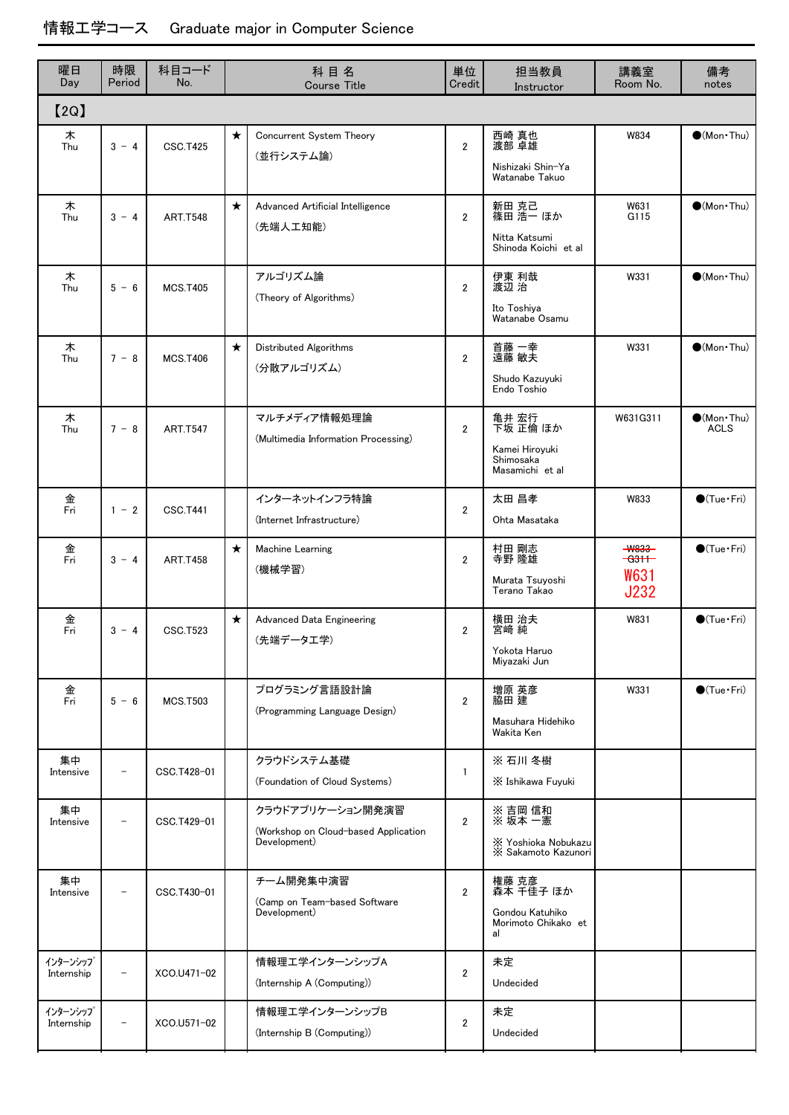| 曜日<br>Day              | 時限<br>Period             | 科目コード<br>No.    | 科目名<br><b>Course Title</b> |                                                                          | 単位<br>Credit   | 担当教員<br>Instructor                                                  | 講義室<br>Room No.                                     | 備考<br>notes                        |
|------------------------|--------------------------|-----------------|----------------------------|--------------------------------------------------------------------------|----------------|---------------------------------------------------------------------|-----------------------------------------------------|------------------------------------|
| [2Q]                   |                          |                 |                            |                                                                          |                |                                                                     |                                                     |                                    |
| 木<br>Thu               | $3 - 4$                  | <b>CSC.T425</b> | $\star$                    | Concurrent System Theory<br>(並行システム論)                                    | $\overline{2}$ | 西崎 真也<br>渡部 卓雄<br>Nishizaki Shin-Ya<br>Watanabe Takuo               | W834                                                | $\bullet$ (Mon Thu)                |
| 木<br>Thu               | $3 - 4$                  | <b>ART.T548</b> | $\star$                    | Advanced Artificial Intelligence<br>(先端人工知能)                             | $\overline{2}$ | 新田 克己<br>篠田 浩一 ほか<br>Nitta Katsumi<br>Shinoda Koichi et al          | W631<br>G115                                        | $(Mon\cdot Thu)$                   |
| 木<br>Thu               | $5 - 6$                  | <b>MCS.T405</b> |                            | アルゴリズム論<br>(Theory of Algorithms)                                        | $\overline{2}$ | 伊東 利哉<br>渡辺 治<br>Ito Toshiya<br>Watanabe Osamu                      | W331                                                | $\bullet$ (Mon·Thu)                |
| 木<br>Thu               | $7 - 8$                  | <b>MCS.T406</b> | $\star$                    | Distributed Algorithms<br>(分散アルゴリズム)                                     | $\overline{2}$ | 首藤 一幸<br>遠藤 敏夫<br>Shudo Kazuyuki<br>Endo Toshio                     | W331                                                | $(Mon\cdot Thu)$                   |
| 木<br>Thu               | $7 - 8$                  | <b>ART.T547</b> |                            | マルチメディア情報処理論<br>(Multimedia Information Processing)                      | $\overline{2}$ | 亀井 宏行<br>下坂 正倫 ほか<br>Kamei Hiroyuki<br>Shimosaka<br>Masamichi et al | W631G311                                            | $\bullet$ (Mon·Thu)<br><b>ACLS</b> |
| 金<br>Fri               | $1 - 2$                  | <b>CSC.T441</b> |                            | インターネットインフラ特論<br>(Internet Infrastructure)                               | $\overline{2}$ | 太田 昌孝<br>Ohta Masataka                                              | W833                                                | $\bigcirc$ (Tue · Fri)             |
| 金<br>Fri               | $3 - 4$                  | <b>ART.T458</b> | $\star$                    | Machine Learning<br>(機械学習)                                               | $\overline{2}$ | 村田 剛志<br>寺野 隆雄<br>Murata Tsuyoshi<br>Terano Takao                   | <b>W833</b><br>$-631$<br><b>W631</b><br><b>J232</b> | $\bigcirc$ (Tue·Fri)               |
| 金<br>Fri               | $3 - 4$                  | <b>CSC.T523</b> | $\star$                    | Advanced Data Engineering<br>(先端データエ学)                                   | $\overline{2}$ | 横田 治夫<br>宮崎 純<br>Yokota Haruo<br>Miyazaki Jun                       | W831                                                | $\bigcirc$ (Tue · Fri)             |
| 金<br>Fri               | $5 - 6$                  | <b>MCS.T503</b> |                            | プログラミング言語設計論<br>(Programming Language Design)                            | $\overline{2}$ | 増原 英彦<br>脇田 建<br>Masuhara Hidehiko<br>Wakita Ken                    | W331                                                | $\bigcirc$ (Tue · Fri)             |
| 集中<br>Intensive        |                          | CSC.T428-01     |                            | クラウドシステム基礎<br>(Foundation of Cloud Systems)                              | $\mathbf{1}$   | ※ 石川 冬樹<br>X Ishikawa Fuyuki                                        |                                                     |                                    |
| 集中<br>Intensive        |                          | CSC.T429-01     |                            | クラウドアプリケーション開発演習<br>(Workshop on Cloud-based Application<br>Development) | $\overline{2}$ | ※ 吉岡 信和<br>※ 坂本 一憲<br>X Yoshioka Nobukazu<br>X Sakamoto Kazunori    |                                                     |                                    |
| 集中<br>Intensive        |                          | CSC.T430-01     |                            | チーム開発集中演習<br>(Camp on Team-based Software<br>Development)                | $\overline{2}$ | 権藤 克彦<br>森本 千佳子 ほか<br>Gondou Katuhiko<br>Morimoto Chikako et<br>al  |                                                     |                                    |
| インターンシップ<br>Internship | $\overline{\phantom{0}}$ | XCO.U471-02     |                            | 情報理エ学インターンシップA<br>(Internship A (Computing))                             | $\overline{2}$ | 未定<br>Undecided                                                     |                                                     |                                    |
| インターンシップ<br>Internship | $\overline{a}$           | XCO.U571-02     |                            | 情報理エ学インターンシップB<br>(Internship B (Computing))                             | $\overline{2}$ | 未定<br>Undecided                                                     |                                                     |                                    |